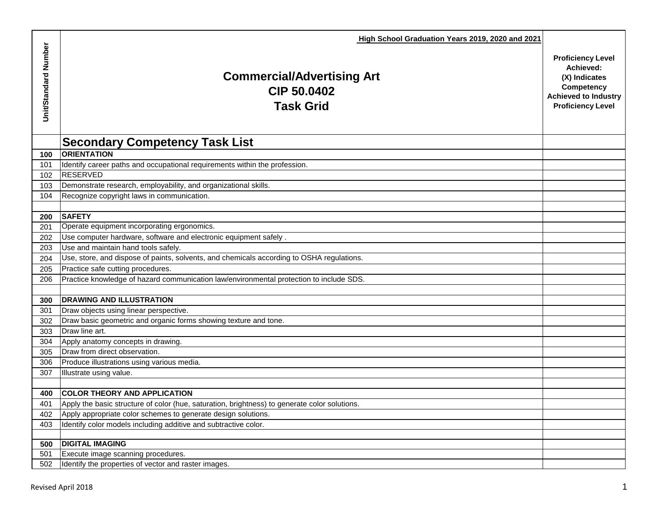| High School Graduation Years 2019, 2020 and 2021<br>Unit/Standard Number<br><b>Proficiency Level</b><br>Achieved:<br><b>Commercial/Advertising Art</b><br>(X) Indicates<br>Competency<br>CIP 50.0402<br><b>Achieved to Industry</b><br><b>Task Grid</b><br><b>Proficiency Level</b><br><b>Secondary Competency Task List</b><br><b>ORIENTATION</b><br>100<br>101<br>Identify career paths and occupational requirements within the profession.<br>RESERVED<br>102<br>Demonstrate research, employability, and organizational skills.<br>103<br>Recognize copyright laws in communication.<br>104<br><b>SAFETY</b><br>200 |
|--------------------------------------------------------------------------------------------------------------------------------------------------------------------------------------------------------------------------------------------------------------------------------------------------------------------------------------------------------------------------------------------------------------------------------------------------------------------------------------------------------------------------------------------------------------------------------------------------------------------------|
|                                                                                                                                                                                                                                                                                                                                                                                                                                                                                                                                                                                                                          |
|                                                                                                                                                                                                                                                                                                                                                                                                                                                                                                                                                                                                                          |
|                                                                                                                                                                                                                                                                                                                                                                                                                                                                                                                                                                                                                          |
|                                                                                                                                                                                                                                                                                                                                                                                                                                                                                                                                                                                                                          |
|                                                                                                                                                                                                                                                                                                                                                                                                                                                                                                                                                                                                                          |
|                                                                                                                                                                                                                                                                                                                                                                                                                                                                                                                                                                                                                          |
|                                                                                                                                                                                                                                                                                                                                                                                                                                                                                                                                                                                                                          |
|                                                                                                                                                                                                                                                                                                                                                                                                                                                                                                                                                                                                                          |
|                                                                                                                                                                                                                                                                                                                                                                                                                                                                                                                                                                                                                          |
| Operate equipment incorporating ergonomics.<br>201                                                                                                                                                                                                                                                                                                                                                                                                                                                                                                                                                                       |
| Use computer hardware, software and electronic equipment safely.<br>202                                                                                                                                                                                                                                                                                                                                                                                                                                                                                                                                                  |
| Use and maintain hand tools safely.<br>203                                                                                                                                                                                                                                                                                                                                                                                                                                                                                                                                                                               |
| Use, store, and dispose of paints, solvents, and chemicals according to OSHA regulations.<br>204                                                                                                                                                                                                                                                                                                                                                                                                                                                                                                                         |
| Practice safe cutting procedures.<br>205                                                                                                                                                                                                                                                                                                                                                                                                                                                                                                                                                                                 |
| Practice knowledge of hazard communication law/environmental protection to include SDS.<br>206                                                                                                                                                                                                                                                                                                                                                                                                                                                                                                                           |
|                                                                                                                                                                                                                                                                                                                                                                                                                                                                                                                                                                                                                          |
| <b>DRAWING AND ILLUSTRATION</b><br>300                                                                                                                                                                                                                                                                                                                                                                                                                                                                                                                                                                                   |
| Draw objects using linear perspective.<br>301                                                                                                                                                                                                                                                                                                                                                                                                                                                                                                                                                                            |
| Draw basic geometric and organic forms showing texture and tone.<br>302                                                                                                                                                                                                                                                                                                                                                                                                                                                                                                                                                  |
| Draw line art.<br>303                                                                                                                                                                                                                                                                                                                                                                                                                                                                                                                                                                                                    |
| Apply anatomy concepts in drawing.<br>304                                                                                                                                                                                                                                                                                                                                                                                                                                                                                                                                                                                |
| Draw from direct observation.<br>305                                                                                                                                                                                                                                                                                                                                                                                                                                                                                                                                                                                     |
| Produce illustrations using various media.<br>306                                                                                                                                                                                                                                                                                                                                                                                                                                                                                                                                                                        |
| Illustrate using value.<br>307                                                                                                                                                                                                                                                                                                                                                                                                                                                                                                                                                                                           |
|                                                                                                                                                                                                                                                                                                                                                                                                                                                                                                                                                                                                                          |
| <b>COLOR THEORY AND APPLICATION</b><br>400                                                                                                                                                                                                                                                                                                                                                                                                                                                                                                                                                                               |
| Apply the basic structure of color (hue, saturation, brightness) to generate color solutions.<br>401                                                                                                                                                                                                                                                                                                                                                                                                                                                                                                                     |
| Apply appropriate color schemes to generate design solutions.<br>402                                                                                                                                                                                                                                                                                                                                                                                                                                                                                                                                                     |
| Identify color models including additive and subtractive color.<br>403                                                                                                                                                                                                                                                                                                                                                                                                                                                                                                                                                   |
| <b>DIGITAL IMAGING</b><br>500                                                                                                                                                                                                                                                                                                                                                                                                                                                                                                                                                                                            |
| 501<br>Execute image scanning procedures.                                                                                                                                                                                                                                                                                                                                                                                                                                                                                                                                                                                |
| 502<br>Identify the properties of vector and raster images.                                                                                                                                                                                                                                                                                                                                                                                                                                                                                                                                                              |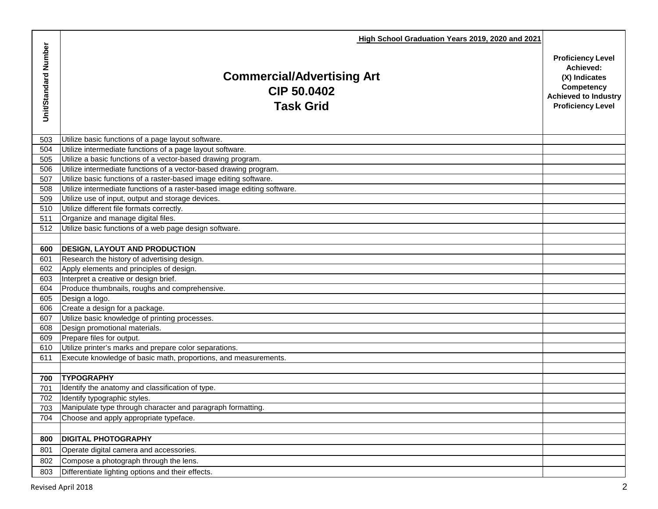|                      | High School Graduation Years 2019, 2020 and 2021                            |                                                                                                                                 |
|----------------------|-----------------------------------------------------------------------------|---------------------------------------------------------------------------------------------------------------------------------|
| Unit/Standard Number | <b>Commercial/Advertising Art</b><br><b>CIP 50,0402</b><br><b>Task Grid</b> | <b>Proficiency Level</b><br>Achieved:<br>(X) Indicates<br>Competency<br><b>Achieved to Industry</b><br><b>Proficiency Level</b> |
| 503                  | Utilize basic functions of a page layout software.                          |                                                                                                                                 |
| 504                  | Utilize intermediate functions of a page layout software.                   |                                                                                                                                 |
| 505                  | Utilize a basic functions of a vector-based drawing program.                |                                                                                                                                 |
| 506                  | Utilize intermediate functions of a vector-based drawing program.           |                                                                                                                                 |
| 507                  | Utilize basic functions of a raster-based image editing software.           |                                                                                                                                 |
| 508                  | Utilize intermediate functions of a raster-based image editing software.    |                                                                                                                                 |
| 509                  | Utilize use of input, output and storage devices.                           |                                                                                                                                 |
| 510                  | Utilize different file formats correctly.                                   |                                                                                                                                 |
| 511                  | Organize and manage digital files.                                          |                                                                                                                                 |
| 512                  | Utilize basic functions of a web page design software.                      |                                                                                                                                 |
|                      |                                                                             |                                                                                                                                 |
| 600                  | <b>DESIGN, LAYOUT AND PRODUCTION</b>                                        |                                                                                                                                 |
| 601                  | Research the history of advertising design.                                 |                                                                                                                                 |
| 602                  | Apply elements and principles of design.                                    |                                                                                                                                 |
| 603                  | Interpret a creative or design brief.                                       |                                                                                                                                 |
| 604                  | Produce thumbnails, roughs and comprehensive.                               |                                                                                                                                 |
| 605                  | Design a logo.                                                              |                                                                                                                                 |
| 606                  | Create a design for a package.                                              |                                                                                                                                 |
| 607                  | Utilize basic knowledge of printing processes.                              |                                                                                                                                 |
| 608                  | Design promotional materials.                                               |                                                                                                                                 |
| 609                  | Prepare files for output.                                                   |                                                                                                                                 |
| 610                  | Utilize printer's marks and prepare color separations.                      |                                                                                                                                 |
| 611                  | Execute knowledge of basic math, proportions, and measurements.             |                                                                                                                                 |
|                      | <b>TYPOGRAPHY</b>                                                           |                                                                                                                                 |
| 700<br>701           | Identify the anatomy and classification of type.                            |                                                                                                                                 |
| 702                  | Identify typographic styles.                                                |                                                                                                                                 |
| 703                  | Manipulate type through character and paragraph formatting.                 |                                                                                                                                 |
| 704                  | Choose and apply appropriate typeface.                                      |                                                                                                                                 |
|                      |                                                                             |                                                                                                                                 |
| 800                  | <b>DIGITAL PHOTOGRAPHY</b>                                                  |                                                                                                                                 |
| 801                  | Operate digital camera and accessories.                                     |                                                                                                                                 |
| 802                  |                                                                             |                                                                                                                                 |
|                      | Compose a photograph through the lens.                                      |                                                                                                                                 |
| 803                  | Differentiate lighting options and their effects.                           |                                                                                                                                 |